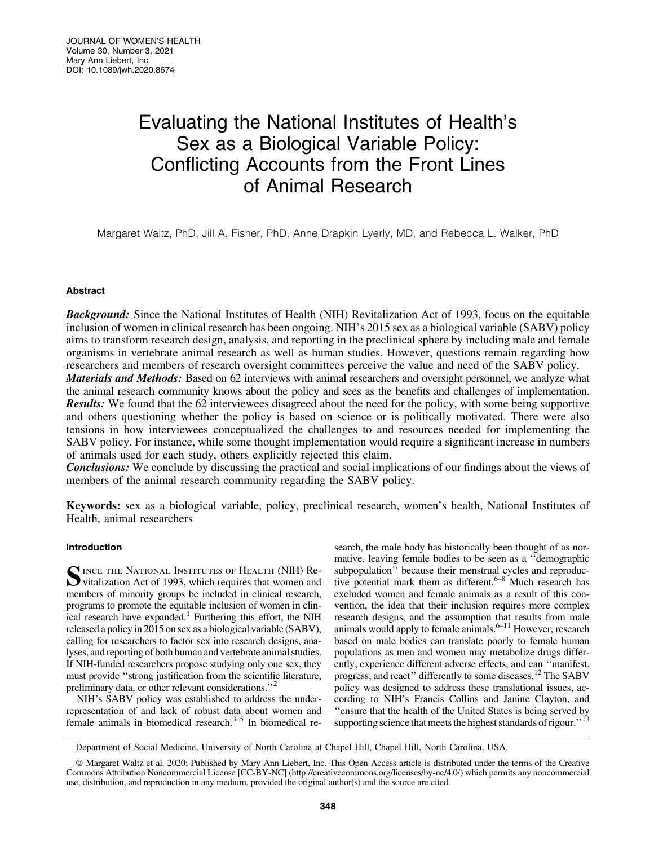# Evaluating the National Institutes of Health's Sex as a Biological Variable Policy: Conflicting Accounts from the Front Lines of Animal Research

Margaret Waltz, PhD, Jill A. Fisher, PhD, Anne Drapkin Lyerly, MD, and Rebecca L. Walker, PhD

# Abstract

Background: Since the National Institutes of Health (NIH) Revitalization Act of 1993, focus on the equitable inclusion of women in clinical research has been ongoing. NIH's 2015 sex as a biological variable (SABV) policy aims to transform research design, analysis, and reporting in the preclinical sphere by including male and female organisms in vertebrate animal research as well as human studies. However, questions remain regarding how researchers and members of research oversight committees perceive the value and need of the SABV policy.

Materials and Methods: Based on 62 interviews with animal researchers and oversight personnel, we analyze what the animal research community knows about the policy and sees as the benefits and challenges of implementation. Results: We found that the 62 interviewees disagreed about the need for the policy, with some being supportive and others questioning whether the policy is based on science or is politically motivated. There were also tensions in how interviewees conceptualized the challenges to and resources needed for implementing the SABV policy. For instance, while some thought implementation would require a significant increase in numbers of animals used for each study, others explicitly rejected this claim.

Conclusions: We conclude by discussing the practical and social implications of our findings about the views of members of the animal research community regarding the SABV policy.

Keywords: sex as a biological variable, policy, preclinical research, women's health, National Institutes of Health, animal researchers

# Introduction

SINCE THE NATIONAL INSTITUTES OF HEALTH (NIH) Revitalization Act of 1993, which requires that women and members of minority groups be included in clinical research, programs to promote the equitable inclusion of women in clinical research have expanded.<sup>1</sup> Furthering this effort, the NIH released a policy in 2015 on sex as a biological variable (SABV), calling for researchers to factor sex into research designs, analyses, and reporting of both human and vertebrate animal studies. If NIH-funded researchers propose studying only one sex, they must provide ''strong justification from the scientific literature, preliminary data, or other relevant considerations."<sup>2</sup>

NIH's SABV policy was established to address the underrepresentation of and lack of robust data about women and female animals in biomedical research. $3-5$  In biomedical research, the male body has historically been thought of as normative, leaving female bodies to be seen as a ''demographic subpopulation" because their menstrual cycles and reproductive potential mark them as different. $6-8$  Much research has excluded women and female animals as a result of this convention, the idea that their inclusion requires more complex research designs, and the assumption that results from male animals would apply to female animals. $6-11$  However, research based on male bodies can translate poorly to female human populations as men and women may metabolize drugs differently, experience different adverse effects, and can ''manifest, progress, and react" differently to some diseases.<sup>12</sup> The SABV policy was designed to address these translational issues, according to NIH's Francis Collins and Janine Clayton, and ''ensure that the health of the United States is being served by supporting science that meets the highest standards of rigour."

Department of Social Medicine, University of North Carolina at Chapel Hill, Chapel Hill, North Carolina, USA.

ª Margaret Waltz et al. 2020; Published by Mary Ann Liebert, Inc. This Open Access article is distributed under the terms of the Creative Commons Attribution Noncommercial License [CC-BY-NC] [\(http://creativecommons.org/licenses/by-nc/4.0/\)](http://creativecommons.org/licenses/by-nc/4.0/) which permits any noncommercial use, distribution, and reproduction in any medium, provided the original author(s) and the source are cited.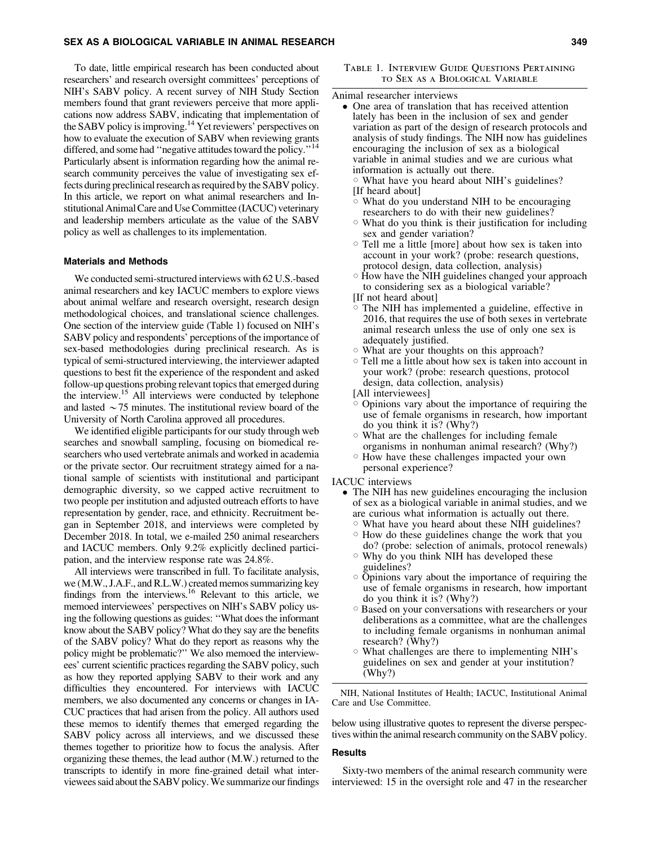To date, little empirical research has been conducted about researchers' and research oversight committees' perceptions of NIH's SABV policy. A recent survey of NIH Study Section members found that grant reviewers perceive that more applications now address SABV, indicating that implementation of the SABV policy is improving.<sup>14</sup> Yet reviewers' perspectives on how to evaluate the execution of SABV when reviewing grants differed, and some had "negative attitudes toward the policy."<sup>14</sup> Particularly absent is information regarding how the animal research community perceives the value of investigating sex effects during preclinical research as required by the SABV policy. In this article, we report on what animal researchers and Institutional Animal Care and Use Committee (IACUC) veterinary and leadership members articulate as the value of the SABV policy as well as challenges to its implementation.

#### Materials and Methods

We conducted semi-structured interviews with 62 U.S.-based animal researchers and key IACUC members to explore views about animal welfare and research oversight, research design methodological choices, and translational science challenges. One section of the interview guide (Table 1) focused on NIH's SABV policy and respondents' perceptions of the importance of sex-based methodologies during preclinical research. As is typical of semi-structured interviewing, the interviewer adapted questions to best fit the experience of the respondent and asked follow-up questions probing relevant topics that emerged during the interview.<sup>15</sup> All interviews were conducted by telephone and lasted  $\sim$  75 minutes. The institutional review board of the University of North Carolina approved all procedures.

We identified eligible participants for our study through web searches and snowball sampling, focusing on biomedical researchers who used vertebrate animals and worked in academia or the private sector. Our recruitment strategy aimed for a national sample of scientists with institutional and participant demographic diversity, so we capped active recruitment to two people per institution and adjusted outreach efforts to have representation by gender, race, and ethnicity. Recruitment began in September 2018, and interviews were completed by December 2018. In total, we e-mailed 250 animal researchers and IACUC members. Only 9.2% explicitly declined participation, and the interview response rate was 24.8%.

All interviews were transcribed in full. To facilitate analysis, we (M.W., J.A.F., and R.L.W.) created memos summarizing key findings from the interviews.16 Relevant to this article, we memoed interviewees' perspectives on NIH's SABV policy using the following questions as guides: ''What does the informant know about the SABV policy? What do they say are the benefits of the SABV policy? What do they report as reasons why the policy might be problematic?'' We also memoed the interviewees' current scientific practices regarding the SABV policy, such as how they reported applying SABV to their work and any difficulties they encountered. For interviews with IACUC members, we also documented any concerns or changes in IA-CUC practices that had arisen from the policy. All authors used these memos to identify themes that emerged regarding the SABV policy across all interviews, and we discussed these themes together to prioritize how to focus the analysis. After organizing these themes, the lead author (M.W.) returned to the transcripts to identify in more fine-grained detail what interviewees said about the SABV policy. We summarize our findings

#### Table 1. Interview Guide Questions Pertaining to Sex as a Biological Variable

#### Animal researcher interviews

- One area of translation that has received attention lately has been in the inclusion of sex and gender variation as part of the design of research protocols and analysis of study findings. The NIH now has guidelines encouraging the inclusion of sex as a biological variable in animal studies and we are curious what information is actually out there.
	- $\circ$  What have you heard about NIH's guidelines? [If heard about]
	- $\circ$  What do you understand NIH to be encouraging researchers to do with their new guidelines?
	- $\circ$  What do you think is their justification for including sex and gender variation?
	- $\circ$  Tell me a little [more] about how sex is taken into account in your work? (probe: research questions, protocol design, data collection, analysis)
	- $\circ$  How have the NIH guidelines changed your approach to considering sex as a biological variable?
	- [If not heard about]
	- $\circ$  The NIH has implemented a guideline, effective in 2016, that requires the use of both sexes in vertebrate animal research unless the use of only one sex is adequately justified.
	- $\circ$  What are your thoughts on this approach?
	- $\circ$  Tell me a little about how sex is taken into account in your work? (probe: research questions, protocol design, data collection, analysis)
	- [All interviewees]
	- $\circ$  Opinions vary about the importance of requiring the use of female organisms in research, how important do you think it is? (Why?)
	- $\circ$  What are the challenges for including female organisms in nonhuman animal research? (Why?)
	- $\circ$  How have these challenges impacted your own personal experience?
- IACUC interviews
	- The NIH has new guidelines encouraging the inclusion of sex as a biological variable in animal studies, and we are curious what information is actually out there.
		- $\circ$  What have you heard about these NIH guidelines?  $\circ$  How do these guidelines change the work that you
		- do? (probe: selection of animals, protocol renewals)  $\circ$  Why do you think NIH has developed these
		- guidelines?  $\circ$  Opinions vary about the importance of requiring the use of female organisms in research, how important do you think it is? (Why?)
		- Based on your conversations with researchers or your deliberations as a committee, what are the challenges to including female organisms in nonhuman animal research? (Why?)
		- $\circ$  What challenges are there to implementing NIH's guidelines on sex and gender at your institution? (Why?)

NIH, National Institutes of Health; IACUC, Institutional Animal Care and Use Committee.

below using illustrative quotes to represent the diverse perspectives within the animal research community on the SABV policy.

#### Results

Sixty-two members of the animal research community were interviewed: 15 in the oversight role and 47 in the researcher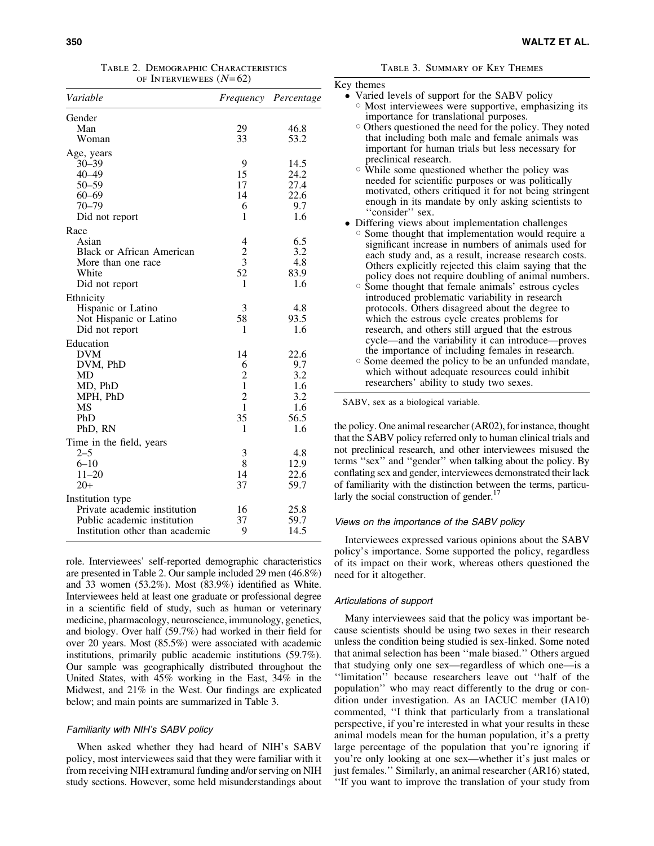| Variable                         |                         | Frequency Percentage |
|----------------------------------|-------------------------|----------------------|
| Gender                           |                         |                      |
| Man                              | 29                      | 46.8                 |
| Woman                            | 33                      | 53.2                 |
| Age, years                       |                         |                      |
| $30 - 39$                        | 9                       | 14.5                 |
| $40 - 49$                        | 15                      | 24.2                 |
| $50 - 59$                        | 17                      | 27.4                 |
| $60 - 69$                        | 14                      | 22.6                 |
| $70 - 79$                        | 6                       | 9.7                  |
| Did not report                   | 1                       | 1.6                  |
| Race                             |                         |                      |
| Asian                            | 4                       | 6.5                  |
| <b>Black or African American</b> | $\frac{2}{3}$           | 3.2                  |
| More than one race               |                         | 4.8                  |
| White                            | $\overline{52}$         | 83.9                 |
| Did not report                   | 1                       | 1.6                  |
| Ethnicity                        |                         |                      |
| Hispanic or Latino               | 3                       | 4.8                  |
| Not Hispanic or Latino           | 58                      | 93.5                 |
| Did not report                   | 1                       | 1.6                  |
| Education                        |                         |                      |
| <b>DVM</b>                       | 14                      | 22.6                 |
| DVM, PhD                         | 6                       | 9.7                  |
| MD                               | $\overline{c}$          | 3.2                  |
| MD, PhD                          | $\mathbf{1}$            | 1.6                  |
| MPH, PhD                         | $\overline{\mathbf{c}}$ | 3.2                  |
| <b>MS</b>                        | $\mathbf{1}$            | 1.6                  |
| PhD                              | 35                      | 56.5                 |
| PhD, RN                          | 1                       | 1.6                  |
| Time in the field, years         |                         |                      |
| $2 - 5$                          | 3                       | 4.8                  |
| $6 - 10$                         | 8                       | 12.9                 |
| $11 - 20$                        | 14                      | 22.6                 |
| $20+$                            | 37                      | 59.7                 |
| Institution type                 |                         |                      |
| Private academic institution     | 16                      | 25.8                 |
| Public academic institution      | 37                      | 59.7                 |
| Institution other than academic  | 9                       | 14.5                 |

role. Interviewees' self-reported demographic characteristics are presented in Table 2. Our sample included 29 men (46.8%) and 33 women (53.2%). Most (83.9%) identified as White. Interviewees held at least one graduate or professional degree in a scientific field of study, such as human or veterinary medicine, pharmacology, neuroscience, immunology, genetics, and biology. Over half (59.7%) had worked in their field for over 20 years. Most (85.5%) were associated with academic institutions, primarily public academic institutions (59.7%). Our sample was geographically distributed throughout the United States, with 45% working in the East, 34% in the Midwest, and 21% in the West. Our findings are explicated below; and main points are summarized in Table 3.

# Familiarity with NIH's SABV policy

When asked whether they had heard of NIH's SABV policy, most interviewees said that they were familiar with it from receiving NIH extramural funding and/or serving on NIH study sections. However, some held misunderstandings about

|  | TABLE 3. SUMMARY OF KEY THEMES |  |  |
|--|--------------------------------|--|--|
|--|--------------------------------|--|--|

| Key themes                                                                                                                                                                                                                                                                                                                                                                                                                                                                                                                             |
|----------------------------------------------------------------------------------------------------------------------------------------------------------------------------------------------------------------------------------------------------------------------------------------------------------------------------------------------------------------------------------------------------------------------------------------------------------------------------------------------------------------------------------------|
| • Varied levels of support for the SABV policy<br><b>Most interviewees were supportive, emphasizing its</b><br>importance for translational purposes.                                                                                                                                                                                                                                                                                                                                                                                  |
| Others questioned the need for the policy. They noted<br>that including both male and female animals was<br>important for human trials but less necessary for<br>preclinical research.                                                                                                                                                                                                                                                                                                                                                 |
| ○ While some questioned whether the policy was<br>needed for scientific purposes or was politically<br>motivated, others critiqued it for not being stringent<br>enough in its mandate by only asking scientists to<br>"consider" sex.                                                                                                                                                                                                                                                                                                 |
| • Differing views about implementation challenges                                                                                                                                                                                                                                                                                                                                                                                                                                                                                      |
| <sup>o</sup> Some thought that implementation would require a<br>significant increase in numbers of animals used for<br>each study and, as a result, increase research costs.<br>Others explicitly rejected this claim saying that the<br>policy does not require doubling of animal numbers.                                                                                                                                                                                                                                          |
| <sup>o</sup> Some thought that female animals' estrous cycles<br>introduced problematic variability in research<br>protocols. Others disagreed about the degree to<br>which the estrous cycle creates problems for<br>research, and others still argued that the estrous<br>cycle—and the variability it can introduce—proves<br>the importance of including females in research.<br>○ Some deemed the policy to be an unfunded mandate,<br>which without adequate resources could inhibit<br>researchers' ability to study two sexes. |
| $0 \land \overline{D} \overline{M}$ and $\overline{M}$ are $\overline{M}$ and $\overline{M}$ are $\overline{M}$ and $\overline{M}$ are $\overline{M}$ and $\overline{M}$ are $\overline{M}$ are $\overline{M}$ and $\overline{M}$ are $\overline{M}$ are $\overline{M}$ are $\overline{M}$ are $\overline{M}$ are $\overline{M}$ are $\overline$                                                                                                                                                                                       |

SABV, sex as a biological variable.

the policy. One animal researcher (AR02), for instance, thought that the SABV policy referred only to human clinical trials and not preclinical research, and other interviewees misused the terms ''sex'' and ''gender'' when talking about the policy. By conflating sex and gender, interviewees demonstrated their lack of familiarity with the distinction between the terms, particularly the social construction of gender. $17$ 

#### Views on the importance of the SABV policy

Interviewees expressed various opinions about the SABV policy's importance. Some supported the policy, regardless of its impact on their work, whereas others questioned the need for it altogether.

#### Articulations of support

Many interviewees said that the policy was important because scientists should be using two sexes in their research unless the condition being studied is sex-linked. Some noted that animal selection has been ''male biased.'' Others argued that studying only one sex—regardless of which one—is a ''limitation'' because researchers leave out ''half of the population'' who may react differently to the drug or condition under investigation. As an IACUC member (IA10) commented, ''I think that particularly from a translational perspective, if you're interested in what your results in these animal models mean for the human population, it's a pretty large percentage of the population that you're ignoring if you're only looking at one sex—whether it's just males or just females.'' Similarly, an animal researcher (AR16) stated, ''If you want to improve the translation of your study from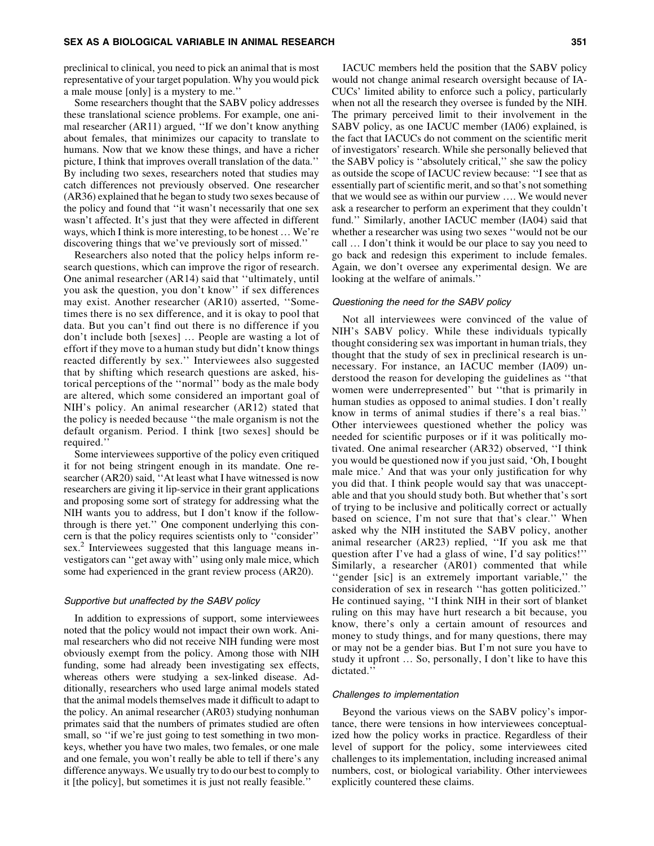preclinical to clinical, you need to pick an animal that is most representative of your target population. Why you would pick a male mouse [only] is a mystery to me.''

Some researchers thought that the SABV policy addresses these translational science problems. For example, one animal researcher (AR11) argued, ''If we don't know anything about females, that minimizes our capacity to translate to humans. Now that we know these things, and have a richer picture, I think that improves overall translation of the data.'' By including two sexes, researchers noted that studies may catch differences not previously observed. One researcher (AR36) explained that he began to study two sexes because of the policy and found that ''it wasn't necessarily that one sex wasn't affected. It's just that they were affected in different ways, which I think is more interesting, to be honest ... We're discovering things that we've previously sort of missed.''

Researchers also noted that the policy helps inform research questions, which can improve the rigor of research. One animal researcher (AR14) said that ''ultimately, until you ask the question, you don't know'' if sex differences may exist. Another researcher (AR10) asserted, ''Sometimes there is no sex difference, and it is okay to pool that data. But you can't find out there is no difference if you don't include both [sexes] ... People are wasting a lot of effort if they move to a human study but didn't know things reacted differently by sex.'' Interviewees also suggested that by shifting which research questions are asked, historical perceptions of the ''normal'' body as the male body are altered, which some considered an important goal of NIH's policy. An animal researcher (AR12) stated that the policy is needed because ''the male organism is not the default organism. Period. I think [two sexes] should be required.''

Some interviewees supportive of the policy even critiqued it for not being stringent enough in its mandate. One researcher (AR20) said, "At least what I have witnessed is now researchers are giving it lip-service in their grant applications and proposing some sort of strategy for addressing what the NIH wants you to address, but I don't know if the followthrough is there yet.'' One component underlying this concern is that the policy requires scientists only to ''consider'' sex.<sup>2</sup> Interviewees suggested that this language means investigators can ''get away with'' using only male mice, which some had experienced in the grant review process (AR20).

# Supportive but unaffected by the SABV policy

In addition to expressions of support, some interviewees noted that the policy would not impact their own work. Animal researchers who did not receive NIH funding were most obviously exempt from the policy. Among those with NIH funding, some had already been investigating sex effects, whereas others were studying a sex-linked disease. Additionally, researchers who used large animal models stated that the animal models themselves made it difficult to adapt to the policy. An animal researcher (AR03) studying nonhuman primates said that the numbers of primates studied are often small, so "if we're just going to test something in two monkeys, whether you have two males, two females, or one male and one female, you won't really be able to tell if there's any difference anyways. We usually try to do our best to comply to it [the policy], but sometimes it is just not really feasible.''

IACUC members held the position that the SABV policy would not change animal research oversight because of IA-CUCs' limited ability to enforce such a policy, particularly when not all the research they oversee is funded by the NIH. The primary perceived limit to their involvement in the SABV policy, as one IACUC member (IA06) explained, is the fact that IACUCs do not comment on the scientific merit of investigators' research. While she personally believed that the SABV policy is ''absolutely critical,'' she saw the policy as outside the scope of IACUC review because: ''I see that as essentially part of scientific merit, and so that's not something that we would see as within our purview .... We would never ask a researcher to perform an experiment that they couldn't fund.'' Similarly, another IACUC member (IA04) said that whether a researcher was using two sexes ''would not be our call ... I don't think it would be our place to say you need to go back and redesign this experiment to include females. Again, we don't oversee any experimental design. We are looking at the welfare of animals.''

#### Questioning the need for the SABV policy

Not all interviewees were convinced of the value of NIH's SABV policy. While these individuals typically thought considering sex was important in human trials, they thought that the study of sex in preclinical research is unnecessary. For instance, an IACUC member (IA09) understood the reason for developing the guidelines as ''that women were underrepresented'' but ''that is primarily in human studies as opposed to animal studies. I don't really know in terms of animal studies if there's a real bias.'' Other interviewees questioned whether the policy was needed for scientific purposes or if it was politically motivated. One animal researcher (AR32) observed, ''I think you would be questioned now if you just said, 'Oh, I bought male mice.' And that was your only justification for why you did that. I think people would say that was unacceptable and that you should study both. But whether that's sort of trying to be inclusive and politically correct or actually based on science, I'm not sure that that's clear.'' When asked why the NIH instituted the SABV policy, another animal researcher (AR23) replied, ''If you ask me that question after I've had a glass of wine, I'd say politics!'' Similarly, a researcher (AR01) commented that while ''gender [sic] is an extremely important variable,'' the consideration of sex in research ''has gotten politicized.'' He continued saying, ''I think NIH in their sort of blanket ruling on this may have hurt research a bit because, you know, there's only a certain amount of resources and money to study things, and for many questions, there may or may not be a gender bias. But I'm not sure you have to study it upfront  $\ldots$  So, personally, I don't like to have this dictated.'

#### Challenges to implementation

Beyond the various views on the SABV policy's importance, there were tensions in how interviewees conceptualized how the policy works in practice. Regardless of their level of support for the policy, some interviewees cited challenges to its implementation, including increased animal numbers, cost, or biological variability. Other interviewees explicitly countered these claims.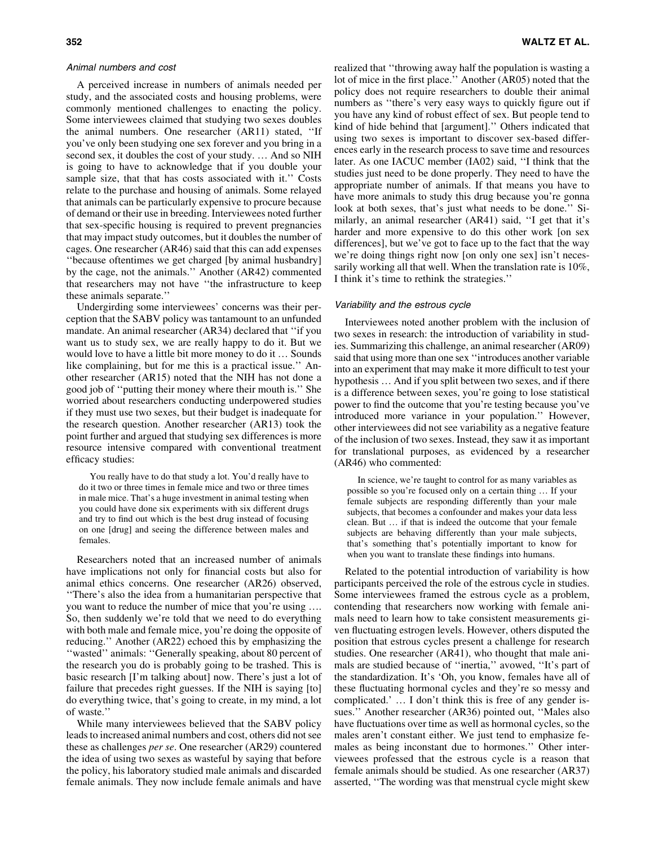#### Animal numbers and cost

A perceived increase in numbers of animals needed per study, and the associated costs and housing problems, were commonly mentioned challenges to enacting the policy. Some interviewees claimed that studying two sexes doubles the animal numbers. One researcher (AR11) stated, ''If you've only been studying one sex forever and you bring in a second sex, it doubles the cost of your study. ... And so NIH is going to have to acknowledge that if you double your sample size, that that has costs associated with it.'' Costs relate to the purchase and housing of animals. Some relayed that animals can be particularly expensive to procure because of demand or their use in breeding. Interviewees noted further that sex-specific housing is required to prevent pregnancies that may impact study outcomes, but it doubles the number of cages. One researcher (AR46) said that this can add expenses ''because oftentimes we get charged [by animal husbandry] by the cage, not the animals.'' Another (AR42) commented that researchers may not have ''the infrastructure to keep these animals separate.''

Undergirding some interviewees' concerns was their perception that the SABV policy was tantamount to an unfunded mandate. An animal researcher (AR34) declared that ''if you want us to study sex, we are really happy to do it. But we would love to have a little bit more money to do it ... Sounds like complaining, but for me this is a practical issue.'' Another researcher (AR15) noted that the NIH has not done a good job of ''putting their money where their mouth is.'' She worried about researchers conducting underpowered studies if they must use two sexes, but their budget is inadequate for the research question. Another researcher (AR13) took the point further and argued that studying sex differences is more resource intensive compared with conventional treatment efficacy studies:

You really have to do that study a lot. You'd really have to do it two or three times in female mice and two or three times in male mice. That's a huge investment in animal testing when you could have done six experiments with six different drugs and try to find out which is the best drug instead of focusing on one [drug] and seeing the difference between males and females.

Researchers noted that an increased number of animals have implications not only for financial costs but also for animal ethics concerns. One researcher (AR26) observed, ''There's also the idea from a humanitarian perspective that you want to reduce the number of mice that you're using .. So, then suddenly we're told that we need to do everything with both male and female mice, you're doing the opposite of reducing.'' Another (AR22) echoed this by emphasizing the ''wasted'' animals: ''Generally speaking, about 80 percent of the research you do is probably going to be trashed. This is basic research [I'm talking about] now. There's just a lot of failure that precedes right guesses. If the NIH is saying [to] do everything twice, that's going to create, in my mind, a lot of waste.''

While many interviewees believed that the SABV policy leads to increased animal numbers and cost, others did not see these as challenges *per se*. One researcher (AR29) countered the idea of using two sexes as wasteful by saying that before the policy, his laboratory studied male animals and discarded female animals. They now include female animals and have realized that ''throwing away half the population is wasting a lot of mice in the first place.'' Another (AR05) noted that the policy does not require researchers to double their animal numbers as ''there's very easy ways to quickly figure out if you have any kind of robust effect of sex. But people tend to kind of hide behind that [argument].'' Others indicated that using two sexes is important to discover sex-based differences early in the research process to save time and resources later. As one IACUC member (IA02) said, ''I think that the studies just need to be done properly. They need to have the appropriate number of animals. If that means you have to have more animals to study this drug because you're gonna look at both sexes, that's just what needs to be done." Similarly, an animal researcher (AR41) said, ''I get that it's harder and more expensive to do this other work [on sex differences], but we've got to face up to the fact that the way we're doing things right now [on only one sex] isn't necessarily working all that well. When the translation rate is 10%, I think it's time to rethink the strategies.''

# Variability and the estrous cycle

Interviewees noted another problem with the inclusion of two sexes in research: the introduction of variability in studies. Summarizing this challenge, an animal researcher (AR09) said that using more than one sex ''introduces another variable into an experiment that may make it more difficult to test your hypothesis ... And if you split between two sexes, and if there is a difference between sexes, you're going to lose statistical power to find the outcome that you're testing because you've introduced more variance in your population.'' However, other interviewees did not see variability as a negative feature of the inclusion of two sexes. Instead, they saw it as important for translational purposes, as evidenced by a researcher (AR46) who commented:

In science, we're taught to control for as many variables as possible so you're focused only on a certain thing . If your female subjects are responding differently than your male subjects, that becomes a confounder and makes your data less clean. But ... if that is indeed the outcome that your female subjects are behaving differently than your male subjects, that's something that's potentially important to know for when you want to translate these findings into humans.

Related to the potential introduction of variability is how participants perceived the role of the estrous cycle in studies. Some interviewees framed the estrous cycle as a problem, contending that researchers now working with female animals need to learn how to take consistent measurements given fluctuating estrogen levels. However, others disputed the position that estrous cycles present a challenge for research studies. One researcher (AR41), who thought that male animals are studied because of ''inertia,'' avowed, ''It's part of the standardization. It's 'Oh, you know, females have all of these fluctuating hormonal cycles and they're so messy and complicated.' ... I don't think this is free of any gender issues.'' Another researcher (AR36) pointed out, ''Males also have fluctuations over time as well as hormonal cycles, so the males aren't constant either. We just tend to emphasize females as being inconstant due to hormones.'' Other interviewees professed that the estrous cycle is a reason that female animals should be studied. As one researcher (AR37) asserted, ''The wording was that menstrual cycle might skew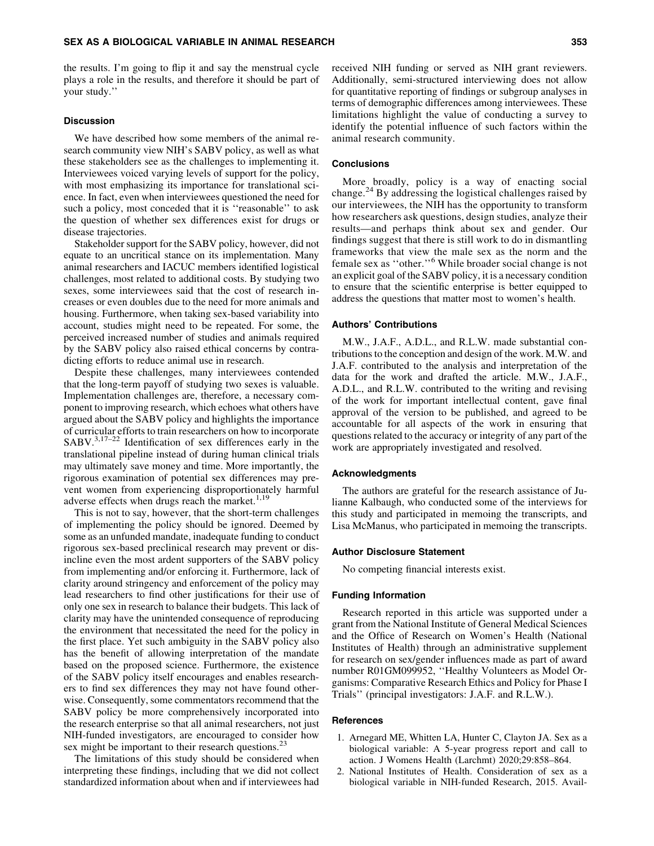the results. I'm going to flip it and say the menstrual cycle plays a role in the results, and therefore it should be part of your study.''

#### **Discussion**

We have described how some members of the animal research community view NIH's SABV policy, as well as what these stakeholders see as the challenges to implementing it. Interviewees voiced varying levels of support for the policy, with most emphasizing its importance for translational science. In fact, even when interviewees questioned the need for such a policy, most conceded that it is ''reasonable'' to ask the question of whether sex differences exist for drugs or disease trajectories.

Stakeholder support for the SABV policy, however, did not equate to an uncritical stance on its implementation. Many animal researchers and IACUC members identified logistical challenges, most related to additional costs. By studying two sexes, some interviewees said that the cost of research increases or even doubles due to the need for more animals and housing. Furthermore, when taking sex-based variability into account, studies might need to be repeated. For some, the perceived increased number of studies and animals required by the SABV policy also raised ethical concerns by contradicting efforts to reduce animal use in research.

Despite these challenges, many interviewees contended that the long-term payoff of studying two sexes is valuable. Implementation challenges are, therefore, a necessary component to improving research, which echoes what others have argued about the SABV policy and highlights the importance of curricular efforts to train researchers on how to incorporate  $SABV$ <sup>3,17–22</sup> Identification of sex differences early in the translational pipeline instead of during human clinical trials may ultimately save money and time. More importantly, the rigorous examination of potential sex differences may prevent women from experiencing disproportionately harmful adverse effects when drugs reach the market.<sup>1,19</sup>

This is not to say, however, that the short-term challenges of implementing the policy should be ignored. Deemed by some as an unfunded mandate, inadequate funding to conduct rigorous sex-based preclinical research may prevent or disincline even the most ardent supporters of the SABV policy from implementing and/or enforcing it. Furthermore, lack of clarity around stringency and enforcement of the policy may lead researchers to find other justifications for their use of only one sex in research to balance their budgets. This lack of clarity may have the unintended consequence of reproducing the environment that necessitated the need for the policy in the first place. Yet such ambiguity in the SABV policy also has the benefit of allowing interpretation of the mandate based on the proposed science. Furthermore, the existence of the SABV policy itself encourages and enables researchers to find sex differences they may not have found otherwise. Consequently, some commentators recommend that the SABV policy be more comprehensively incorporated into the research enterprise so that all animal researchers, not just NIH-funded investigators, are encouraged to consider how sex might be important to their research questions.<sup>23</sup>

The limitations of this study should be considered when interpreting these findings, including that we did not collect standardized information about when and if interviewees had received NIH funding or served as NIH grant reviewers. Additionally, semi-structured interviewing does not allow for quantitative reporting of findings or subgroup analyses in terms of demographic differences among interviewees. These limitations highlight the value of conducting a survey to identify the potential influence of such factors within the animal research community.

## **Conclusions**

More broadly, policy is a way of enacting social change.<sup>24</sup> By addressing the logistical challenges raised by our interviewees, the NIH has the opportunity to transform how researchers ask questions, design studies, analyze their results—and perhaps think about sex and gender. Our findings suggest that there is still work to do in dismantling frameworks that view the male sex as the norm and the female sex as ''other.''<sup>6</sup> While broader social change is not an explicit goal of the SABV policy, it is a necessary condition to ensure that the scientific enterprise is better equipped to address the questions that matter most to women's health.

## Authors' Contributions

M.W., J.A.F., A.D.L., and R.L.W. made substantial contributions to the conception and design of the work. M.W. and J.A.F. contributed to the analysis and interpretation of the data for the work and drafted the article. M.W., J.A.F., A.D.L., and R.L.W. contributed to the writing and revising of the work for important intellectual content, gave final approval of the version to be published, and agreed to be accountable for all aspects of the work in ensuring that questions related to the accuracy or integrity of any part of the work are appropriately investigated and resolved.

#### Acknowledgments

The authors are grateful for the research assistance of Julianne Kalbaugh, who conducted some of the interviews for this study and participated in memoing the transcripts, and Lisa McManus, who participated in memoing the transcripts.

#### Author Disclosure Statement

No competing financial interests exist.

#### Funding Information

Research reported in this article was supported under a grant from the National Institute of General Medical Sciences and the Office of Research on Women's Health (National Institutes of Health) through an administrative supplement for research on sex/gender influences made as part of award number R01GM099952, ''Healthy Volunteers as Model Organisms: Comparative Research Ethics and Policy for Phase I Trials'' (principal investigators: J.A.F. and R.L.W.).

## **References**

- 1. Arnegard ME, Whitten LA, Hunter C, Clayton JA. Sex as a biological variable: A 5-year progress report and call to action. J Womens Health (Larchmt) 2020;29:858–864.
- 2. National Institutes of Health. Consideration of sex as a biological variable in NIH-funded Research, 2015. Avail-